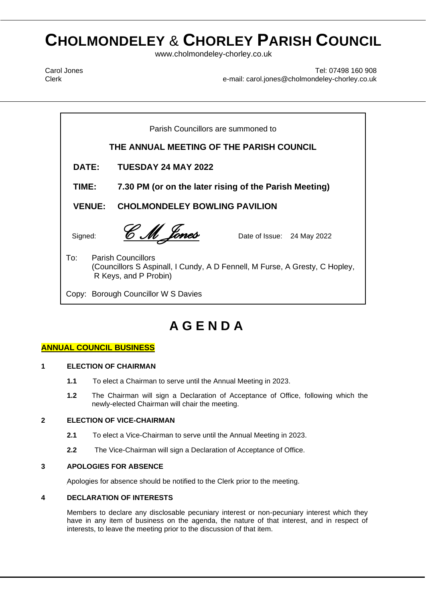# **CHOLMONDELEY** & **CHORLEY PARISH COUNCIL**

www.cholmondeley-chorley.co.uk

Carol Jones Clerk

Tel: 07498 160 908 e-mail: carol.jones@cholmondeley-chorley.co.uk

 $\mathbf{F} \cdot \mathbf{F}$  is a metallors and  $\mathbf{M}$  and  $\mathbf{M}$  are  $\mathbf{M}$  and  $\mathbf{M}$  are  $\mathbf{M}$ **DATE:** TUESDAY 24 MAY 2022 **AGENDA TIME: 7.30 PM (or on the later rising of the Parish Meeting)** Parish Councillors are summoned to **THE ANNUAL MEETING OF THE PARISH COUNCIL VENUE: CHOLMONDELEY BOWLING PAVILION**  Signed: *C M Jones* Date of Issue: 24 May 2022 To: Parish Councillors (Councillors S Aspinall, I Cundy, A D Fennell, M Furse, A Gresty, C Hopley, R Keys, and P Probin) Copy: Borough Councillor W S Davies

# **A G E N D A**

## **ANNUAL COUNCIL BUSINESS**

#### **1 ELECTION OF CHAIRMAN**

- **1.1** To elect a Chairman to serve until the Annual Meeting in 2023.
- **1.2** The Chairman will sign a Declaration of Acceptance of Office, following which the newly-elected Chairman will chair the meeting.

#### **2 ELECTION OF VICE-CHAIRMAN**

- **2.1** To elect a Vice-Chairman to serve until the Annual Meeting in 2023.
- **2.2** The Vice-Chairman will sign a Declaration of Acceptance of Office.

#### **3 APOLOGIES FOR ABSENCE**

Apologies for absence should be notified to the Clerk prior to the meeting.

#### **4 DECLARATION OF INTERESTS**

Members to declare any disclosable pecuniary interest or non-pecuniary interest which they have in any item of business on the agenda, the nature of that interest, and in respect of interests, to leave the meeting prior to the discussion of that item.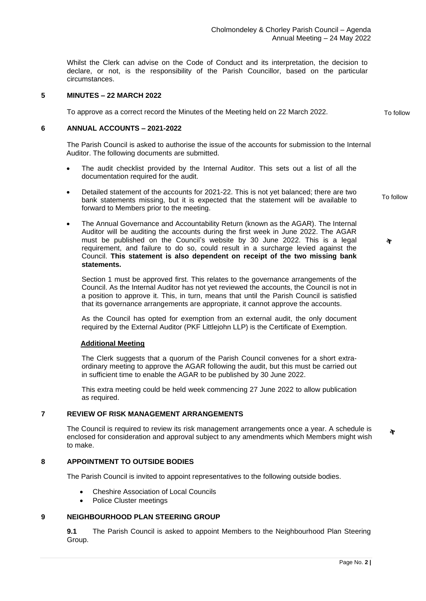Whilst the Clerk can advise on the Code of Conduct and its interpretation, the decision to declare, or not, is the responsibility of the Parish Councillor, based on the particular circumstances.

#### **5 MINUTES – 22 MARCH 2022**

To approve as a correct record the Minutes of the Meeting held on 22 March 2022.

#### **6 ANNUAL ACCOUNTS – 2021-2022**

The Parish Council is asked to authorise the issue of the accounts for submission to the Internal Auditor. The following documents are submitted.

- The audit checklist provided by the Internal Auditor. This sets out a list of all the documentation required for the audit.
- Detailed statement of the accounts for 2021-22. This is not yet balanced; there are two bank statements missing, but it is expected that the statement will be available to forward to Members prior to the meeting.
- The Annual Governance and Accountability Return (known as the AGAR). The Internal Auditor will be auditing the accounts during the first week in June 2022. The AGAR must be published on the Council's website by 30 June 2022. This is a legal requirement, and failure to do so, could result in a surcharge levied against the Council. **This statement is also dependent on receipt of the two missing bank statements.**

Section 1 must be approved first. This relates to the governance arrangements of the Council. As the Internal Auditor has not yet reviewed the accounts, the Council is not in a position to approve it. This, in turn, means that until the Parish Council is satisfied that its governance arrangements are appropriate, it cannot approve the accounts.

As the Council has opted for exemption from an external audit, the only document required by the External Auditor (PKF Littlejohn LLP) is the Certificate of Exemption.

#### **Additional Meeting**

The Clerk suggests that a quorum of the Parish Council convenes for a short extraordinary meeting to approve the AGAR following the audit, but this must be carried out in sufficient time to enable the AGAR to be published by 30 June 2022.

This extra meeting could be held week commencing 27 June 2022 to allow publication as required.

#### **7 REVIEW OF RISK MANAGEMENT ARRANGEMENTS**

The Council is required to review its risk management arrangements once a year. A schedule is enclosed for consideration and approval subject to any amendments which Members might wish to make.

#### **8 APPOINTMENT TO OUTSIDE BODIES**

The Parish Council is invited to appoint representatives to the following outside bodies.

- Cheshire Association of Local Councils
- Police Cluster meetings

#### **9 NEIGHBOURHOOD PLAN STEERING GROUP**

**9.1** The Parish Council is asked to appoint Members to the Neighbourhood Plan Steering Group.

To follow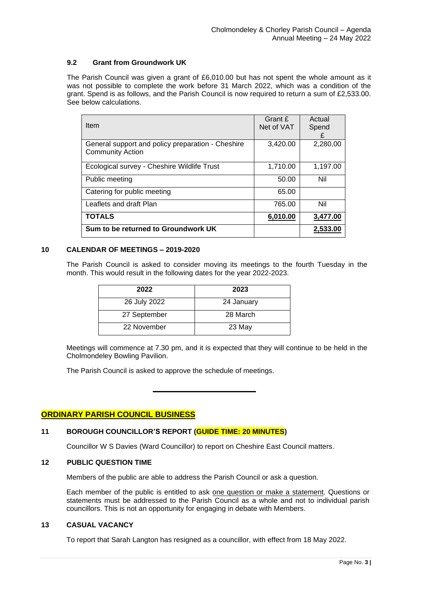#### **9.2 Grant from Groundwork UK**

The Parish Council was given a grant of £6,010.00 but has not spent the whole amount as it was not possible to complete the work before 31 March 2022, which was a condition of the grant. Spend is as follows, and the Parish Council is now required to return a sum of £2,533.00. See below calculations.

| <b>Item</b>                                                                  | Grant £<br>Net of VAT | Actual<br>Spend<br>£ |
|------------------------------------------------------------------------------|-----------------------|----------------------|
| General support and policy preparation - Cheshire<br><b>Community Action</b> | 3,420.00              | 2,280,00             |
| Ecological survey - Cheshire Wildlife Trust                                  | 1,710.00              | 1,197.00             |
| Public meeting                                                               | 50.00                 | Nil                  |
| Catering for public meeting                                                  | 65.00                 |                      |
| Leaflets and draft Plan                                                      | 765.00                | Nil                  |
| <b>TOTALS</b>                                                                | 6,010.00              | 3,477.00             |
| Sum to be returned to Groundwork UK                                          |                       | 2.533.00             |

#### **10 CALENDAR OF MEETINGS – 2019-2020**

The Parish Council is asked to consider moving its meetings to the fourth Tuesday in the month. This would result in the following dates for the year 2022-2023.

| 2022         | 2023       |
|--------------|------------|
| 26 July 2022 | 24 January |
| 27 September | 28 March   |
| 22 November  | 23 May     |

Meetings will commence at 7.30 pm, and it is expected that they will continue to be held in the Cholmondeley Bowling Pavilion.

The Parish Council is asked to approve the schedule of meetings.

### **ORDINARY PARISH COUNCIL BUSINESS**

#### **11 BOROUGH COUNCILLOR'S REPORT (GUIDE TIME: 20 MINUTES)**

Councillor W S Davies (Ward Councillor) to report on Cheshire East Council matters.

#### **12 PUBLIC QUESTION TIME**

Members of the public are able to address the Parish Council or ask a question.

Each member of the public is entitled to ask one question or make a statement. Questions or statements must be addressed to the Parish Council as a whole and not to individual parish councillors. This is not an opportunity for engaging in debate with Members.

#### **13 CASUAL VACANCY**

To report that Sarah Langton has resigned as a councillor, with effect from 18 May 2022.